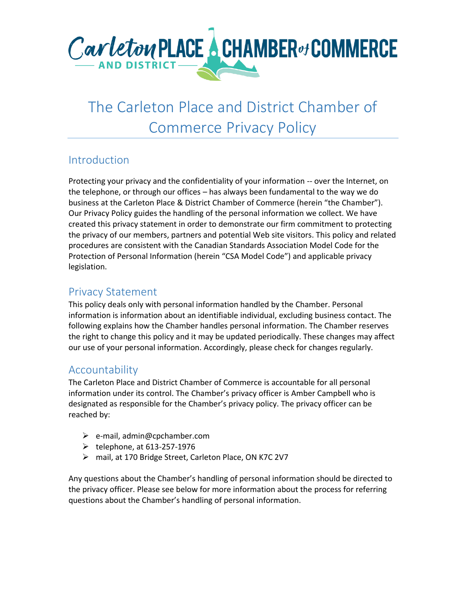

# The Carleton Place and District Chamber of Commerce Privacy Policy

## Introduction

Protecting your privacy and the confidentiality of your information -- over the Internet, on the telephone, or through our offices – has always been fundamental to the way we do business at the Carleton Place & District Chamber of Commerce (herein "the Chamber"). Our Privacy Policy guides the handling of the personal information we collect. We have created this privacy statement in order to demonstrate our firm commitment to protecting the privacy of our members, partners and potential Web site visitors. This policy and related procedures are consistent with the Canadian Standards Association Model Code for the Protection of Personal Information (herein "CSA Model Code") and applicable privacy legislation.

## Privacy Statement

This policy deals only with personal information handled by the Chamber. Personal information is information about an identifiable individual, excluding business contact. The following explains how the Chamber handles personal information. The Chamber reserves the right to change this policy and it may be updated periodically. These changes may affect our use of your personal information. Accordingly, please check for changes regularly.

## Accountability

The Carleton Place and District Chamber of Commerce is accountable for all personal information under its control. The Chamber's privacy officer is Amber Campbell who is designated as responsible for the Chamber's privacy policy. The privacy officer can be reached by:

- ➢ e-mail, admin@cpchamber.com
- $\blacktriangleright$  telephone, at 613-257-1976
- ➢ mail, at 170 Bridge Street, Carleton Place, ON K7C 2V7

Any questions about the Chamber's handling of personal information should be directed to the privacy officer. Please see below for more information about the process for referring questions about the Chamber's handling of personal information.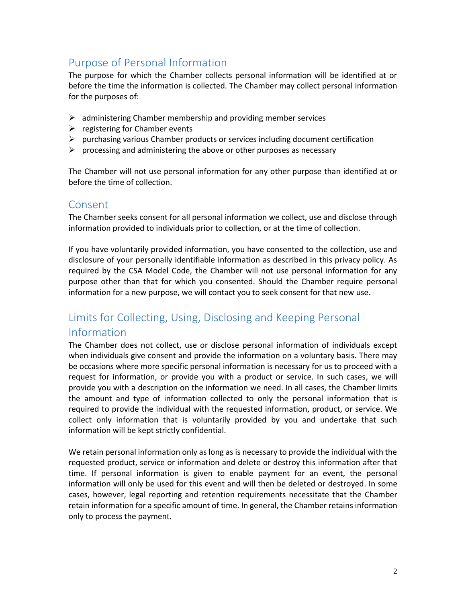## Purpose of Personal Information

The purpose for which the Chamber collects personal information will be identified at or before the time the information is collected. The Chamber may collect personal information for the purposes of:

- $\triangleright$  administering Chamber membership and providing member services
- $\triangleright$  registering for Chamber events
- $\triangleright$  purchasing various Chamber products or services including document certification
- $\triangleright$  processing and administering the above or other purposes as necessary

The Chamber will not use personal information for any other purpose than identified at or before the time of collection.

#### Consent

The Chamber seeks consent for all personal information we collect, use and disclose through information provided to individuals prior to collection, or at the time of collection.

If you have voluntarily provided information, you have consented to the collection, use and disclosure of your personally identifiable information as described in this privacy policy. As required by the CSA Model Code, the Chamber will not use personal information for any purpose other than that for which you consented. Should the Chamber require personal information for a new purpose, we will contact you to seek consent for that new use.

## Limits for Collecting, Using, Disclosing and Keeping Personal Information

The Chamber does not collect, use or disclose personal information of individuals except when individuals give consent and provide the information on a voluntary basis. There may be occasions where more specific personal information is necessary for us to proceed with a request for information, or provide you with a product or service. In such cases, we will provide you with a description on the information we need. In all cases, the Chamber limits the amount and type of information collected to only the personal information that is required to provide the individual with the requested information, product, or service. We collect only information that is voluntarily provided by you and undertake that such information will be kept strictly confidential.

We retain personal information only as long as is necessary to provide the individual with the requested product, service or information and delete or destroy this information after that time. If personal information is given to enable payment for an event, the personal information will only be used for this event and will then be deleted or destroyed. In some cases, however, legal reporting and retention requirements necessitate that the Chamber retain information for a specific amount of time. In general, the Chamber retains information only to process the payment.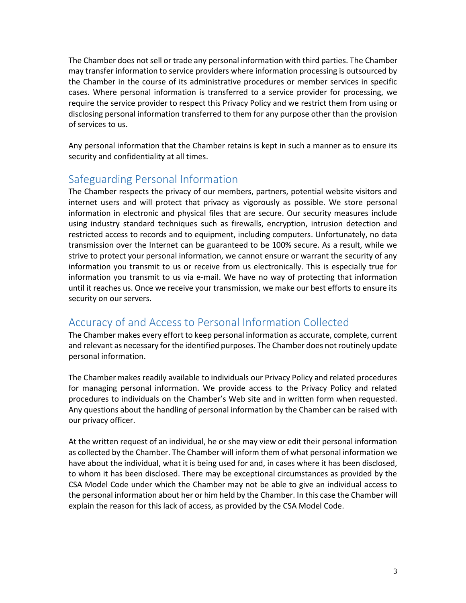The Chamber does not sell or trade any personal information with third parties. The Chamber may transfer information to service providers where information processing is outsourced by the Chamber in the course of its administrative procedures or member services in specific cases. Where personal information is transferred to a service provider for processing, we require the service provider to respect this Privacy Policy and we restrict them from using or disclosing personal information transferred to them for any purpose other than the provision of services to us.

Any personal information that the Chamber retains is kept in such a manner as to ensure its security and confidentiality at all times.

## Safeguarding Personal Information

The Chamber respects the privacy of our members, partners, potential website visitors and internet users and will protect that privacy as vigorously as possible. We store personal information in electronic and physical files that are secure. Our security measures include using industry standard techniques such as firewalls, encryption, intrusion detection and restricted access to records and to equipment, including computers. Unfortunately, no data transmission over the Internet can be guaranteed to be 100% secure. As a result, while we strive to protect your personal information, we cannot ensure or warrant the security of any information you transmit to us or receive from us electronically. This is especially true for information you transmit to us via e-mail. We have no way of protecting that information until it reaches us. Once we receive your transmission, we make our best efforts to ensure its security on our servers.

## Accuracy of and Access to Personal Information Collected

The Chamber makes every effort to keep personal information as accurate, complete, current and relevant as necessary for the identified purposes. The Chamber does not routinely update personal information.

The Chamber makes readily available to individuals our Privacy Policy and related procedures for managing personal information. We provide access to the Privacy Policy and related procedures to individuals on the Chamber's Web site and in written form when requested. Any questions about the handling of personal information by the Chamber can be raised with our privacy officer.

At the written request of an individual, he or she may view or edit their personal information as collected by the Chamber. The Chamber will inform them of what personal information we have about the individual, what it is being used for and, in cases where it has been disclosed, to whom it has been disclosed. There may be exceptional circumstances as provided by the CSA Model Code under which the Chamber may not be able to give an individual access to the personal information about her or him held by the Chamber. In this case the Chamber will explain the reason for this lack of access, as provided by the CSA Model Code.